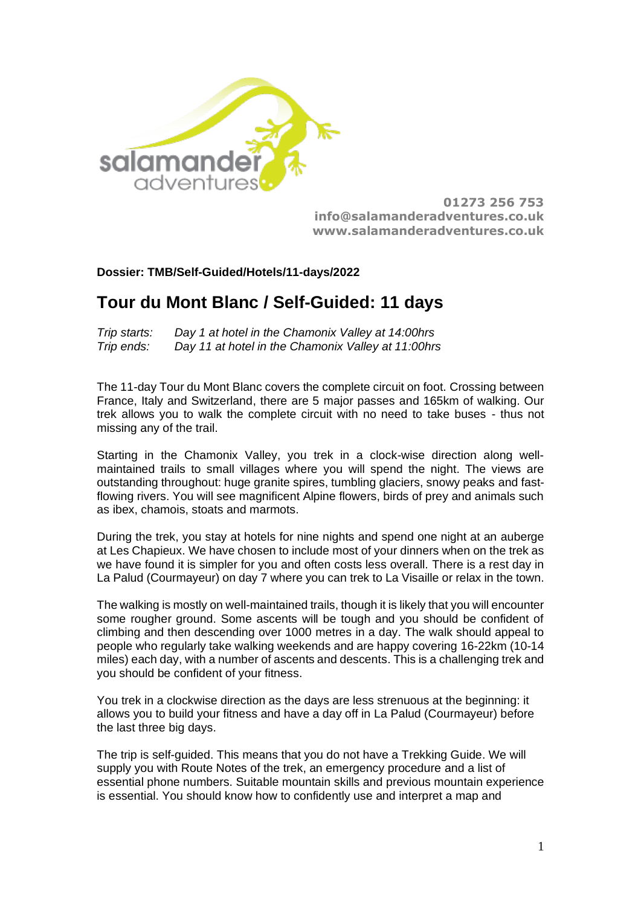

**01273 256 753 [info@salamanderadventures.co.uk](mailto:salamanderadventures@yahoo.co.uk) [www.salamanderadventures.co.uk](http://www.salamanderadventures.co.uk/)**

# **Dossier: TMB/Self-Guided/Hotels/11-days/2022**

# **Tour du Mont Blanc / Self-Guided: 11 days**

*Trip starts: Day 1 at hotel in the Chamonix Valley at 14:00hrs Trip ends: Day 11 at hotel in the Chamonix Valley at 11:00hrs* 

The 11-day Tour du Mont Blanc covers the complete circuit on foot. Crossing between France, Italy and Switzerland, there are 5 major passes and 165km of walking. Our trek allows you to walk the complete circuit with no need to take buses - thus not missing any of the trail.

Starting in the Chamonix Valley, you trek in a clock-wise direction along wellmaintained trails to small villages where you will spend the night. The views are outstanding throughout: huge granite spires, tumbling glaciers, snowy peaks and fastflowing rivers. You will see magnificent Alpine flowers, birds of prey and animals such as ibex, chamois, stoats and marmots.

During the trek, you stay at hotels for nine nights and spend one night at an auberge at Les Chapieux. We have chosen to include most of your dinners when on the trek as we have found it is simpler for you and often costs less overall. There is a rest day in La Palud (Courmayeur) on day 7 where you can trek to La Visaille or relax in the town.

The walking is mostly on well-maintained trails, though it is likely that you will encounter some rougher ground. Some ascents will be tough and you should be confident of climbing and then descending over 1000 metres in a day. The walk should appeal to people who regularly take walking weekends and are happy covering 16-22km (10-14 miles) each day, with a number of ascents and descents. This is a challenging trek and you should be confident of your fitness.

You trek in a clockwise direction as the days are less strenuous at the beginning: it allows you to build your fitness and have a day off in La Palud (Courmayeur) before the last three big days.

The trip is self-guided. This means that you do not have a Trekking Guide. We will supply you with Route Notes of the trek, an emergency procedure and a list of essential phone numbers. Suitable mountain skills and previous mountain experience is essential. You should know how to confidently use and interpret a map and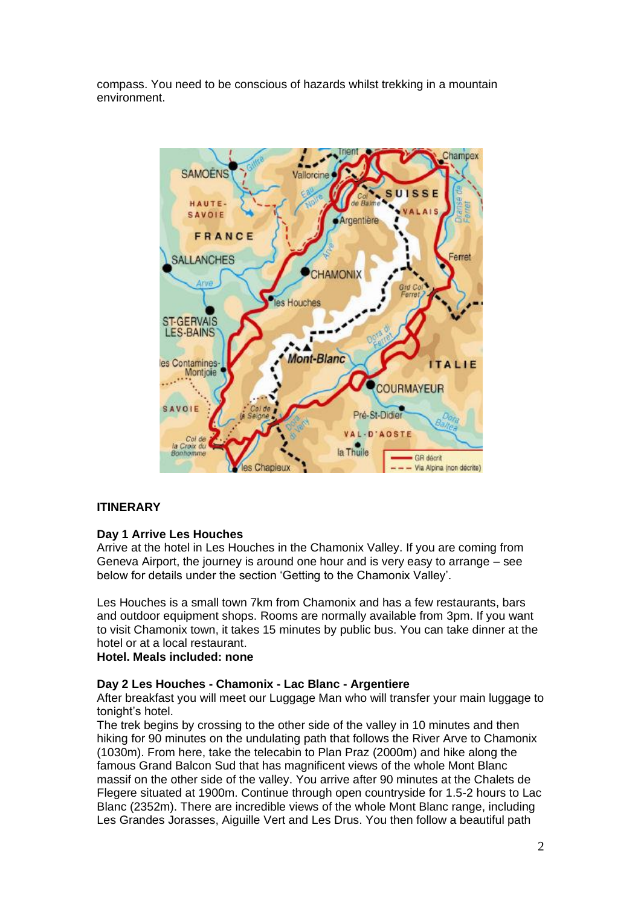compass. You need to be conscious of hazards whilst trekking in a mountain environment.



# **ITINERARY**

#### **Day 1 Arrive Les Houches**

Arrive at the hotel in Les Houches in the Chamonix Valley. If you are coming from Geneva Airport, the journey is around one hour and is very easy to arrange – see below for details under the section 'Getting to the Chamonix Valley'.

Les Houches is a small town 7km from Chamonix and has a few restaurants, bars and outdoor equipment shops. Rooms are normally available from 3pm. If you want to visit Chamonix town, it takes 15 minutes by public bus. You can take dinner at the hotel or at a local restaurant.

# **Hotel. Meals included: none**

### **Day 2 Les Houches - Chamonix - Lac Blanc - Argentiere**

After breakfast you will meet our Luggage Man who will transfer your main luggage to tonight's hotel.

The trek begins by crossing to the other side of the valley in 10 minutes and then hiking for 90 minutes on the undulating path that follows the River Arve to Chamonix (1030m). From here, take the telecabin to Plan Praz (2000m) and hike along the famous Grand Balcon Sud that has magnificent views of the whole Mont Blanc massif on the other side of the valley. You arrive after 90 minutes at the Chalets de Flegere situated at 1900m. Continue through open countryside for 1.5-2 hours to Lac Blanc (2352m). There are incredible views of the whole Mont Blanc range, including Les Grandes Jorasses, Aiguille Vert and Les Drus. You then follow a beautiful path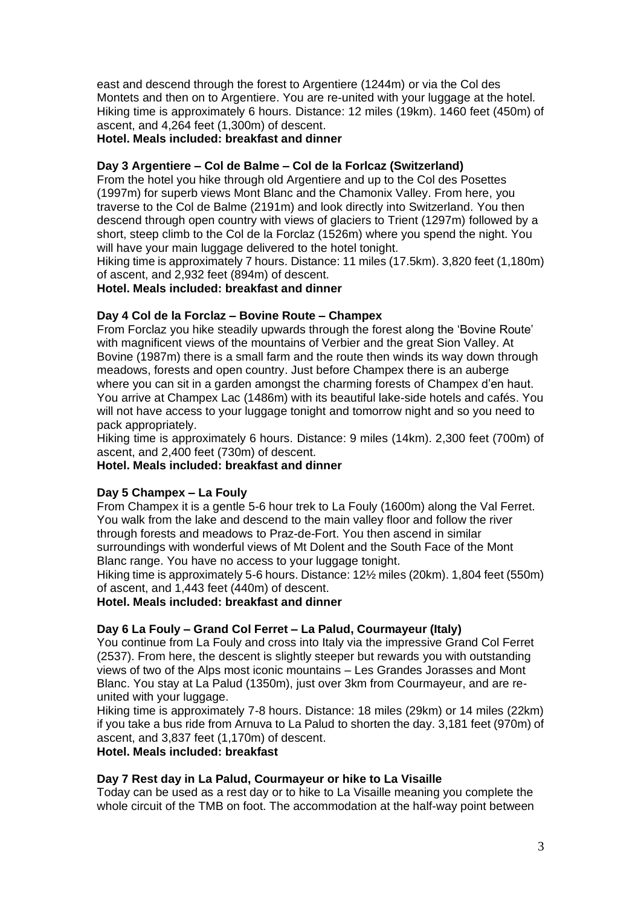east and descend through the forest to Argentiere (1244m) or via the Col des Montets and then on to Argentiere. You are re-united with your luggage at the hotel. Hiking time is approximately 6 hours. Distance: 12 miles (19km). 1460 feet (450m) of ascent, and 4,264 feet (1,300m) of descent.

# **Hotel. Meals included: breakfast and dinner**

# **Day 3 Argentiere – Col de Balme – Col de la Forlcaz (Switzerland)**

From the hotel you hike through old Argentiere and up to the Col des Posettes (1997m) for superb views Mont Blanc and the Chamonix Valley. From here, you traverse to the Col de Balme (2191m) and look directly into Switzerland. You then descend through open country with views of glaciers to Trient (1297m) followed by a short, steep climb to the Col de la Forclaz (1526m) where you spend the night. You will have your main luggage delivered to the hotel tonight.

Hiking time is approximately 7 hours. Distance: 11 miles (17.5km). 3,820 feet (1,180m) of ascent, and 2,932 feet (894m) of descent.

**Hotel. Meals included: breakfast and dinner**

## **Day 4 Col de la Forclaz – Bovine Route – Champex**

From Forclaz you hike steadily upwards through the forest along the 'Bovine Route' with magnificent views of the mountains of Verbier and the great Sion Valley. At Bovine (1987m) there is a small farm and the route then winds its way down through meadows, forests and open country. Just before Champex there is an auberge where you can sit in a garden amongst the charming forests of Champex d'en haut. You arrive at Champex Lac (1486m) with its beautiful lake-side hotels and cafés. You will not have access to your luggage tonight and tomorrow night and so you need to pack appropriately.

Hiking time is approximately 6 hours. Distance: 9 miles (14km). 2,300 feet (700m) of ascent, and 2,400 feet (730m) of descent.

**Hotel. Meals included: breakfast and dinner**

#### **Day 5 Champex – La Fouly**

From Champex it is a gentle 5-6 hour trek to La Fouly (1600m) along the Val Ferret. You walk from the lake and descend to the main valley floor and follow the river through forests and meadows to Praz-de-Fort. You then ascend in similar surroundings with wonderful views of Mt Dolent and the South Face of the Mont Blanc range. You have no access to your luggage tonight.

Hiking time is approximately 5-6 hours. Distance: 12½ miles (20km). 1,804 feet (550m) of ascent, and 1,443 feet (440m) of descent.

**Hotel. Meals included: breakfast and dinner**

# **Day 6 La Fouly – Grand Col Ferret – La Palud, Courmayeur (Italy)**

You continue from La Fouly and cross into Italy via the impressive Grand Col Ferret (2537). From here, the descent is slightly steeper but rewards you with outstanding views of two of the Alps most iconic mountains – Les Grandes Jorasses and Mont Blanc. You stay at La Palud (1350m), just over 3km from Courmayeur, and are reunited with your luggage.

Hiking time is approximately 7-8 hours. Distance: 18 miles (29km) or 14 miles (22km) if you take a bus ride from Arnuva to La Palud to shorten the day. 3,181 feet (970m) of ascent, and 3,837 feet (1,170m) of descent.

# **Hotel. Meals included: breakfast**

#### **Day 7 Rest day in La Palud, Courmayeur or hike to La Visaille**

Today can be used as a rest day or to hike to La Visaille meaning you complete the whole circuit of the TMB on foot. The accommodation at the half-way point between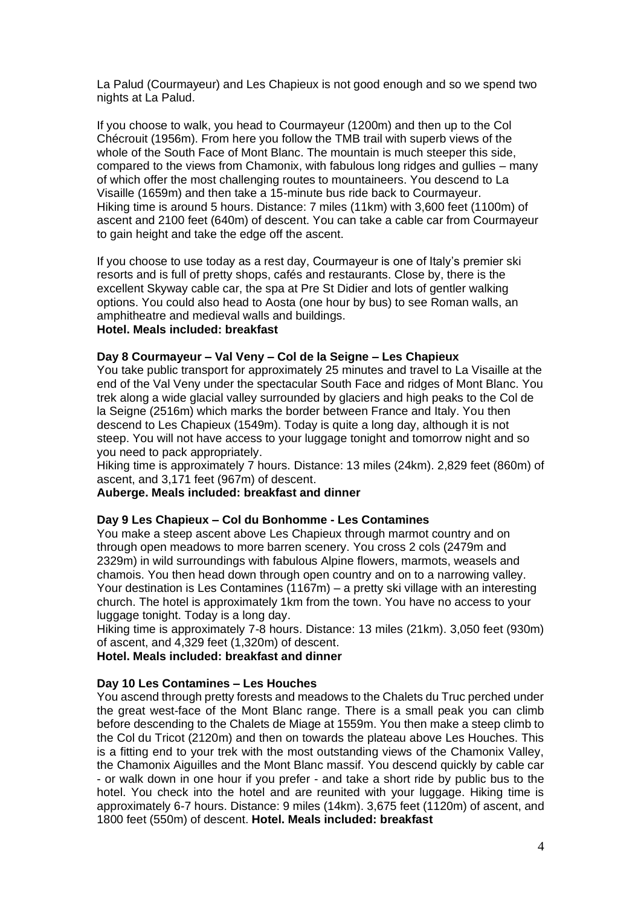La Palud (Courmayeur) and Les Chapieux is not good enough and so we spend two nights at La Palud.

If you choose to walk, you head to Courmayeur (1200m) and then up to the Col Chécrouit (1956m). From here you follow the TMB trail with superb views of the whole of the South Face of Mont Blanc. The mountain is much steeper this side, compared to the views from Chamonix, with fabulous long ridges and gullies – many of which offer the most challenging routes to mountaineers. You descend to La Visaille (1659m) and then take a 15-minute bus ride back to Courmayeur. Hiking time is around 5 hours. Distance: 7 miles (11km) with 3,600 feet (1100m) of ascent and 2100 feet (640m) of descent. You can take a cable car from Courmayeur to gain height and take the edge off the ascent.

If you choose to use today as a rest day, Courmayeur is one of Italy's premier ski resorts and is full of pretty shops, cafés and restaurants. Close by, there is the excellent Skyway cable car, the spa at Pre St Didier and lots of gentler walking options. You could also head to Aosta (one hour by bus) to see Roman walls, an amphitheatre and medieval walls and buildings.

# **Hotel. Meals included: breakfast**

#### **Day 8 Courmayeur – Val Veny – Col de la Seigne – Les Chapieux**

You take public transport for approximately 25 minutes and travel to La Visaille at the end of the Val Veny under the spectacular South Face and ridges of Mont Blanc. You trek along a wide glacial valley surrounded by glaciers and high peaks to the Col de la Seigne (2516m) which marks the border between France and Italy. You then descend to Les Chapieux (1549m). Today is quite a long day, although it is not steep. You will not have access to your luggage tonight and tomorrow night and so you need to pack appropriately.

Hiking time is approximately 7 hours. Distance: 13 miles (24km). 2,829 feet (860m) of ascent, and 3,171 feet (967m) of descent.

#### **Auberge. Meals included: breakfast and dinner**

#### **Day 9 Les Chapieux – Col du Bonhomme - Les Contamines**

You make a steep ascent above Les Chapieux through marmot country and on through open meadows to more barren scenery. You cross 2 cols (2479m and 2329m) in wild surroundings with fabulous Alpine flowers, marmots, weasels and chamois. You then head down through open country and on to a narrowing valley. Your destination is Les Contamines (1167m) – a pretty ski village with an interesting church. The hotel is approximately 1km from the town. You have no access to your luggage tonight. Today is a long day.

Hiking time is approximately 7-8 hours. Distance: 13 miles (21km). 3,050 feet (930m) of ascent, and 4,329 feet (1,320m) of descent.

**Hotel. Meals included: breakfast and dinner**

#### **Day 10 Les Contamines – Les Houches**

You ascend through pretty forests and meadows to the Chalets du Truc perched under the great west-face of the Mont Blanc range. There is a small peak you can climb before descending to the Chalets de Miage at 1559m. You then make a steep climb to the Col du Tricot (2120m) and then on towards the plateau above Les Houches. This is a fitting end to your trek with the most outstanding views of the Chamonix Valley, the Chamonix Aiguilles and the Mont Blanc massif. You descend quickly by cable car - or walk down in one hour if you prefer - and take a short ride by public bus to the hotel. You check into the hotel and are reunited with your luggage. Hiking time is approximately 6-7 hours. Distance: 9 miles (14km). 3,675 feet (1120m) of ascent, and 1800 feet (550m) of descent. **Hotel. Meals included: breakfast**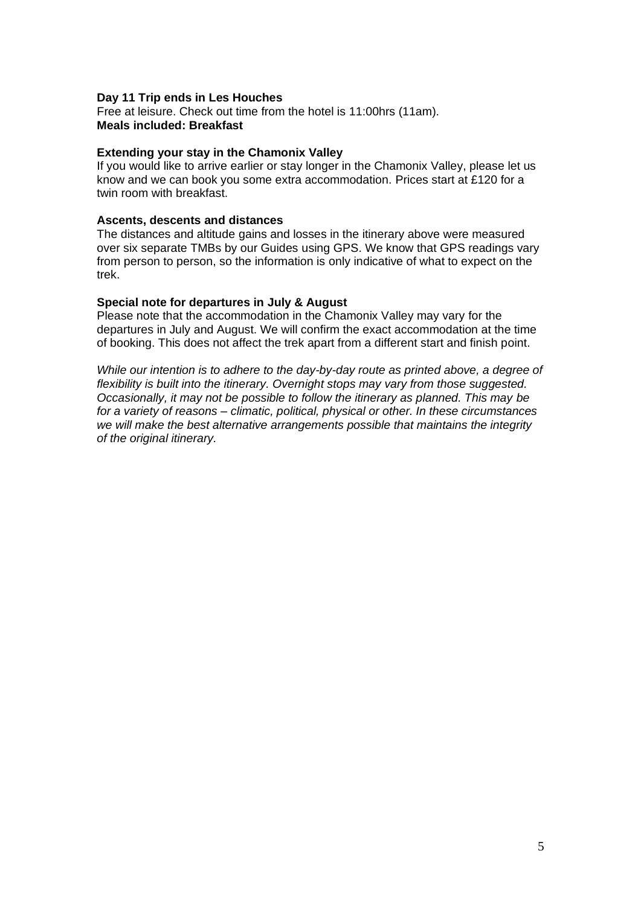#### **Day 11 Trip ends in Les Houches**

Free at leisure. Check out time from the hotel is 11:00hrs (11am). **Meals included: Breakfast**

#### **Extending your stay in the Chamonix Valley**

If you would like to arrive earlier or stay longer in the Chamonix Valley, please let us know and we can book you some extra accommodation. Prices start at £120 for a twin room with breakfast.

#### **Ascents, descents and distances**

The distances and altitude gains and losses in the itinerary above were measured over six separate TMBs by our Guides using GPS. We know that GPS readings vary from person to person, so the information is only indicative of what to expect on the trek.

#### **Special note for departures in July & August**

Please note that the accommodation in the Chamonix Valley may vary for the departures in July and August. We will confirm the exact accommodation at the time of booking. This does not affect the trek apart from a different start and finish point.

*While our intention is to adhere to the day-by-day route as printed above, a degree of flexibility is built into the itinerary. Overnight stops may vary from those suggested. Occasionally, it may not be possible to follow the itinerary as planned. This may be for a variety of reasons – climatic, political, physical or other. In these circumstances we will make the best alternative arrangements possible that maintains the integrity of the original itinerary.*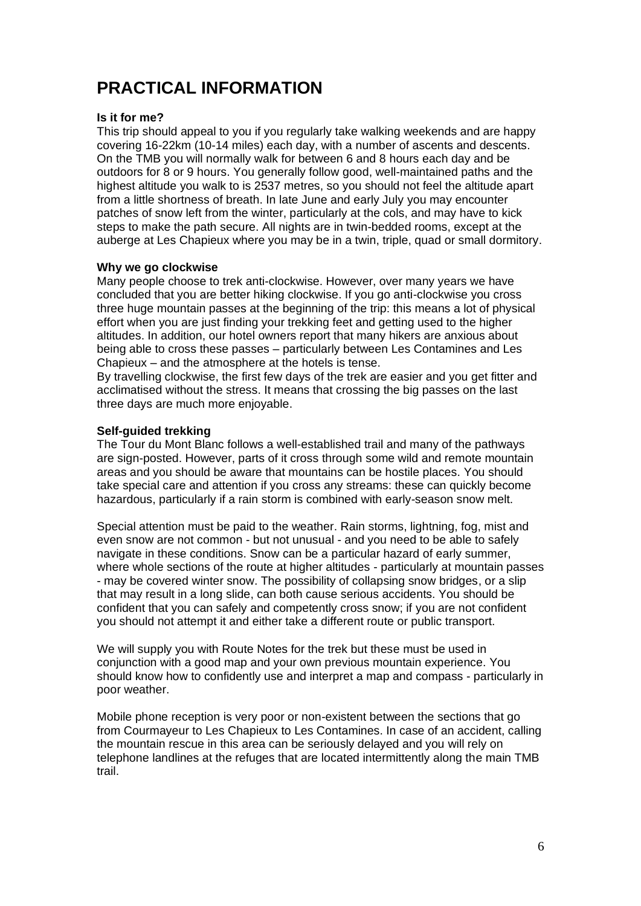# **PRACTICAL INFORMATION**

### **Is it for me?**

This trip should appeal to you if you regularly take walking weekends and are happy covering 16-22km (10-14 miles) each day, with a number of ascents and descents. On the TMB you will normally walk for between 6 and 8 hours each day and be outdoors for 8 or 9 hours. You generally follow good, well-maintained paths and the highest altitude you walk to is 2537 metres, so you should not feel the altitude apart from a little shortness of breath. In late June and early July you may encounter patches of snow left from the winter, particularly at the cols, and may have to kick steps to make the path secure. All nights are in twin-bedded rooms, except at the auberge at Les Chapieux where you may be in a twin, triple, quad or small dormitory.

### **Why we go clockwise**

Many people choose to trek anti-clockwise. However, over many years we have concluded that you are better hiking clockwise. If you go anti-clockwise you cross three huge mountain passes at the beginning of the trip: this means a lot of physical effort when you are just finding your trekking feet and getting used to the higher altitudes. In addition, our hotel owners report that many hikers are anxious about being able to cross these passes – particularly between Les Contamines and Les Chapieux – and the atmosphere at the hotels is tense.

By travelling clockwise, the first few days of the trek are easier and you get fitter and acclimatised without the stress. It means that crossing the big passes on the last three days are much more enjoyable.

# **Self-guided trekking**

The Tour du Mont Blanc follows a well-established trail and many of the pathways are sign-posted. However, parts of it cross through some wild and remote mountain areas and you should be aware that mountains can be hostile places. You should take special care and attention if you cross any streams: these can quickly become hazardous, particularly if a rain storm is combined with early-season snow melt.

Special attention must be paid to the weather. Rain storms, lightning, fog, mist and even snow are not common - but not unusual - and you need to be able to safely navigate in these conditions. Snow can be a particular hazard of early summer, where whole sections of the route at higher altitudes - particularly at mountain passes - may be covered winter snow. The possibility of collapsing snow bridges, or a slip that may result in a long slide, can both cause serious accidents. You should be confident that you can safely and competently cross snow; if you are not confident you should not attempt it and either take a different route or public transport.

We will supply you with Route Notes for the trek but these must be used in conjunction with a good map and your own previous mountain experience. You should know how to confidently use and interpret a map and compass - particularly in poor weather.

Mobile phone reception is very poor or non-existent between the sections that go from Courmayeur to Les Chapieux to Les Contamines. In case of an accident, calling the mountain rescue in this area can be seriously delayed and you will rely on telephone landlines at the refuges that are located intermittently along the main TMB trail.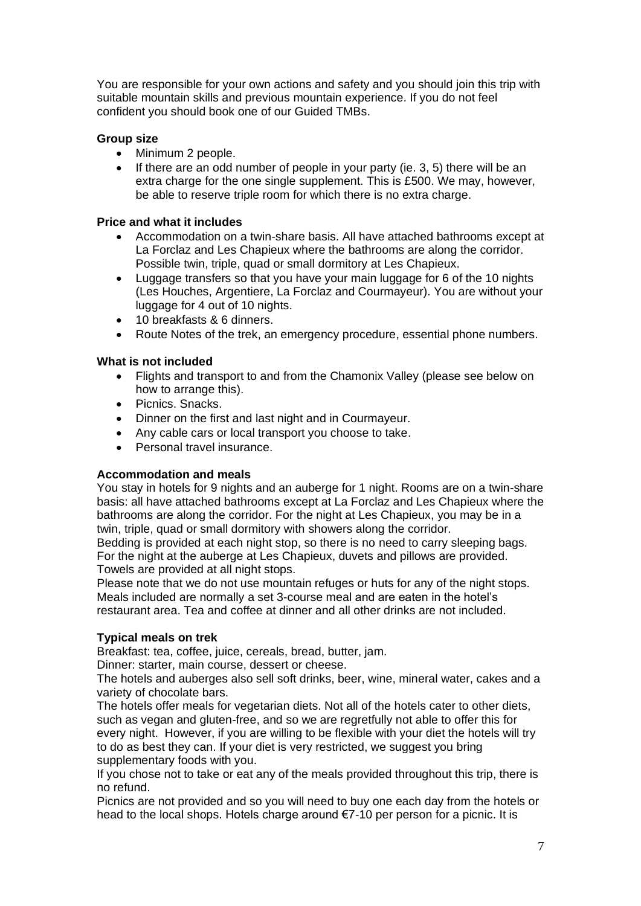You are responsible for your own actions and safety and you should join this trip with suitable mountain skills and previous mountain experience. If you do not feel confident you should book one of our Guided TMBs.

# **Group size**

- Minimum 2 people.
- If there are an odd number of people in your party (ie. 3, 5) there will be an extra charge for the one single supplement. This is £500. We may, however, be able to reserve triple room for which there is no extra charge.

# **Price and what it includes**

- Accommodation on a twin-share basis. All have attached bathrooms except at La Forclaz and Les Chapieux where the bathrooms are along the corridor. Possible twin, triple, quad or small dormitory at Les Chapieux.
- Luggage transfers so that you have your main luggage for 6 of the 10 nights (Les Houches, Argentiere, La Forclaz and Courmayeur). You are without your luggage for 4 out of 10 nights.
- 10 breakfasts & 6 dinners.
- Route Notes of the trek, an emergency procedure, essential phone numbers.

# **What is not included**

- Flights and transport to and from the Chamonix Valley (please see below on how to arrange this).
- Picnics. Snacks.
- Dinner on the first and last night and in Courmayeur.
- Any cable cars or local transport you choose to take.
- Personal travel insurance.

# **Accommodation and meals**

You stay in hotels for 9 nights and an auberge for 1 night. Rooms are on a twin-share basis: all have attached bathrooms except at La Forclaz and Les Chapieux where the bathrooms are along the corridor. For the night at Les Chapieux, you may be in a twin, triple, quad or small dormitory with showers along the corridor.

Bedding is provided at each night stop, so there is no need to carry sleeping bags. For the night at the auberge at Les Chapieux, duvets and pillows are provided. Towels are provided at all night stops.

Please note that we do not use mountain refuges or huts for any of the night stops. Meals included are normally a set 3-course meal and are eaten in the hotel's restaurant area. Tea and coffee at dinner and all other drinks are not included.

# **Typical meals on trek**

Breakfast: tea, coffee, juice, cereals, bread, butter, jam.

Dinner: starter, main course, dessert or cheese.

The hotels and auberges also sell soft drinks, beer, wine, mineral water, cakes and a variety of chocolate bars.

The hotels offer meals for vegetarian diets. Not all of the hotels cater to other diets, such as vegan and gluten-free, and so we are regretfully not able to offer this for every night. However, if you are willing to be flexible with your diet the hotels will try to do as best they can. If your diet is very restricted, we suggest you bring supplementary foods with you.

If you chose not to take or eat any of the meals provided throughout this trip, there is no refund.

Picnics are not provided and so you will need to buy one each day from the hotels or head to the local shops. Hotels charge around €7-10 per person for a picnic. It is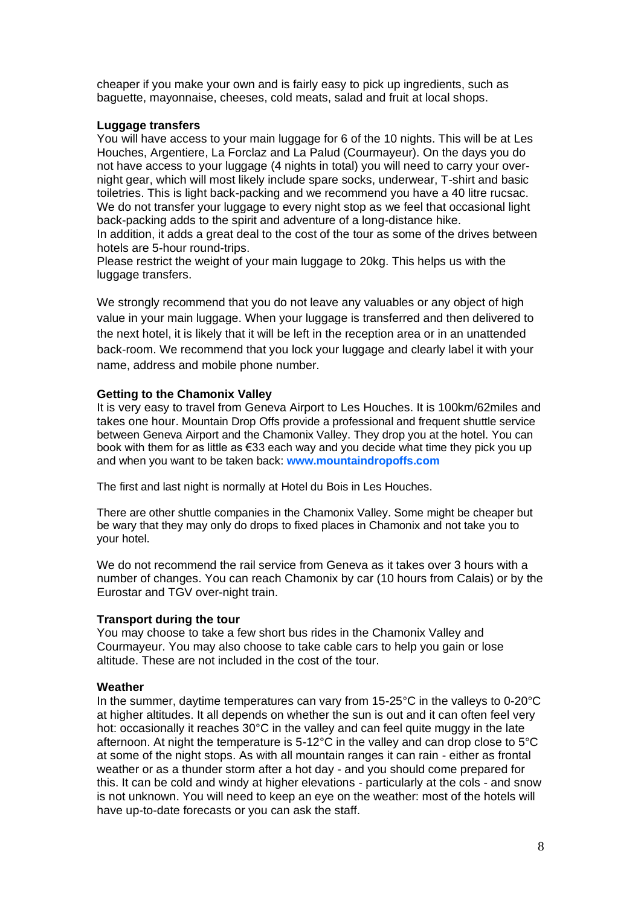cheaper if you make your own and is fairly easy to pick up ingredients, such as baguette, mayonnaise, cheeses, cold meats, salad and fruit at local shops.

## **Luggage transfers**

You will have access to your main luggage for 6 of the 10 nights. This will be at Les Houches, Argentiere, La Forclaz and La Palud (Courmayeur). On the days you do not have access to your luggage (4 nights in total) you will need to carry your overnight gear, which will most likely include spare socks, underwear, T-shirt and basic toiletries. This is light back-packing and we recommend you have a 40 litre rucsac. We do not transfer your luggage to every night stop as we feel that occasional light back-packing adds to the spirit and adventure of a long-distance hike.

In addition, it adds a great deal to the cost of the tour as some of the drives between hotels are 5-hour round-trips.

Please restrict the weight of your main luggage to 20kg. This helps us with the luggage transfers.

We strongly recommend that you do not leave any valuables or any object of high value in your main luggage. When your luggage is transferred and then delivered to the next hotel, it is likely that it will be left in the reception area or in an unattended back-room. We recommend that you lock your luggage and clearly label it with your name, address and mobile phone number.

### **Getting to the Chamonix Valley**

It is very easy to travel from Geneva Airport to Les Houches. It is 100km/62miles and takes one hour. Mountain Drop Offs provide a professional and frequent shuttle service between Geneva Airport and the Chamonix Valley. They drop you at the hotel. You can book with them for as little as €33 each way and you decide what time they pick you up and when you want to be taken back: **[www.mountaindropoffs.com](http://www.mountaindropoffs.com/)**

The first and last night is normally at Hotel du Bois in Les Houches.

There are other shuttle companies in the Chamonix Valley. Some might be cheaper but be wary that they may only do drops to fixed places in Chamonix and not take you to your hotel.

We do not recommend the rail service from Geneva as it takes over 3 hours with a number of changes. You can reach Chamonix by car (10 hours from Calais) or by the Eurostar and TGV over-night train.

#### **Transport during the tour**

You may choose to take a few short bus rides in the Chamonix Valley and Courmayeur. You may also choose to take cable cars to help you gain or lose altitude. These are not included in the cost of the tour.

#### **Weather**

In the summer, daytime temperatures can vary from 15-25°C in the valleys to 0-20°C at higher altitudes. It all depends on whether the sun is out and it can often feel very hot: occasionally it reaches 30°C in the valley and can feel quite muggy in the late afternoon. At night the temperature is 5-12°C in the valley and can drop close to 5°C at some of the night stops. As with all mountain ranges it can rain - either as frontal weather or as a thunder storm after a hot day - and you should come prepared for this. It can be cold and windy at higher elevations - particularly at the cols - and snow is not unknown. You will need to keep an eye on the weather: most of the hotels will have up-to-date forecasts or you can ask the staff.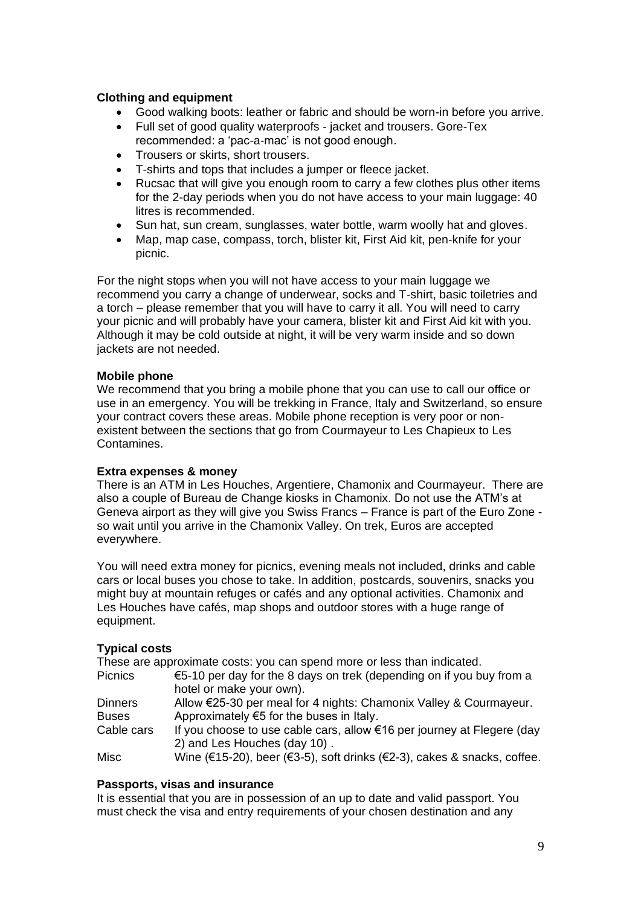# **Clothing and equipment**

- Good walking boots: leather or fabric and should be worn-in before you arrive.
- Full set of good quality waterproofs jacket and trousers. Gore-Tex recommended: a 'pac-a-mac' is not good enough.
- Trousers or skirts, short trousers.
- T-shirts and tops that includes a jumper or fleece jacket.
- Rucsac that will give you enough room to carry a few clothes plus other items for the 2-day periods when you do not have access to your main luggage: 40 litres is recommended.
- Sun hat, sun cream, sunglasses, water bottle, warm woolly hat and gloves.
- Map, map case, compass, torch, blister kit, First Aid kit, pen-knife for your picnic.

For the night stops when you will not have access to your main luggage we recommend you carry a change of underwear, socks and T-shirt, basic toiletries and a torch – please remember that you will have to carry it all. You will need to carry your picnic and will probably have your camera, blister kit and First Aid kit with you. Although it may be cold outside at night, it will be very warm inside and so down jackets are not needed.

### **Mobile phone**

We recommend that you bring a mobile phone that you can use to call our office or use in an emergency. You will be trekking in France, Italy and Switzerland, so ensure your contract covers these areas. Mobile phone reception is very poor or nonexistent between the sections that go from Courmayeur to Les Chapieux to Les Contamines.

#### **Extra expenses & money**

There is an ATM in Les Houches, Argentiere, Chamonix and Courmayeur. There are also a couple of Bureau de Change kiosks in Chamonix. Do not use the ATM's at Geneva airport as they will give you Swiss Francs – France is part of the Euro Zone so wait until you arrive in the Chamonix Valley. On trek, Euros are accepted everywhere.

You will need extra money for picnics, evening meals not included, drinks and cable cars or local buses you chose to take. In addition, postcards, souvenirs, snacks you might buy at mountain refuges or cafés and any optional activities. Chamonix and Les Houches have cafés, map shops and outdoor stores with a huge range of equipment.

# **Typical costs**

These are approximate costs: you can spend more or less than indicated.

Picnics  $\epsilon$ 5-10 per day for the 8 days on trek (depending on if you buy from a hotel or make your own). Dinners Allow €25-30 per meal for 4 nights: Chamonix Valley & Courmayeur.

Buses Approximately  $65$  for the buses in Italy.

Cable cars If you choose to use cable cars, allow  $€16$  per journey at Flegere (day 2) and Les Houches (day 10) .

Misc Wine (€15-20), beer (€3-5), soft drinks (€2-3), cakes & snacks, coffee.

# **Passports, visas and insurance**

It is essential that you are in possession of an up to date and valid passport. You must check the visa and entry requirements of your chosen destination and any